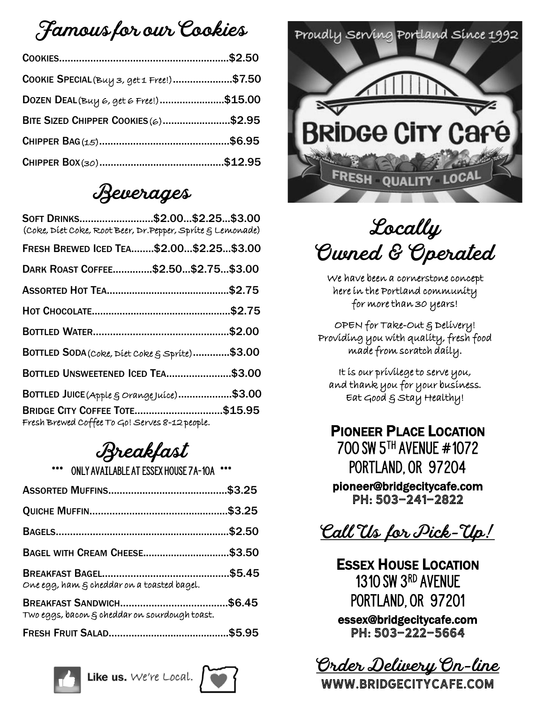#### Famous for our Cookies

| COOKIE SPECIAL (Buy 3, get 1 Free!)\$7.50 |  |
|-------------------------------------------|--|
| DOZEN DEAL (Buy 6, get 6 Free!)\$15.00    |  |
| BITE SIZED CHIPPER COOKIES (6)\$2.95      |  |
|                                           |  |
|                                           |  |

#### Beverages

| SOFT DRINKS\$2.00\$2.25\$3.00<br>(Coke, Diet Coke, Root Beer, Dr. Pepper, Sprite & Lemonade) |  |
|----------------------------------------------------------------------------------------------|--|
| FRESH BREWED ICED TEA\$2.00\$2.25\$3.00                                                      |  |
| DARK ROAST COFFEE\$2.50\$2.75\$3.00                                                          |  |
|                                                                                              |  |
|                                                                                              |  |
|                                                                                              |  |
| BOTTLED SODA (Coke, Diet Coke & Sprite)\$3.00                                                |  |
| BOTTLED UNSWEETENED ICED TEA\$3.00                                                           |  |
| BOTTLED JUICE (Apple & Orange Juíce)\$3.00                                                   |  |
| <b>BRIDGE CITY COFFEE TOTE\$15.95</b><br>Fresh Brewed Coffee To Go! Serves 8-12 people.      |  |

# Breakfast

ONLY AVAILABLE AT ESSEX HOUSE 7A-10A

| BAGEL WITH CREAM CHEESE\$3.50                     |        |
|---------------------------------------------------|--------|
| One egg, ham $\xi$ cheddar on a toasted bagel.    |        |
| Two eggs, bacon $\xi$ cheddar on sourdough toast. | \$6.45 |
|                                                   |        |







Locally Owned & Operated

We have been a cornerstone concept here in the Portland community for more than 30 years!

OPEN for Take-Out & Delivery! Providing you with quality, fresh food made from scratch daily.

It is our privilege to serve you, and thank you for your business. Eat Good & Stay Healthy!

PIONEER PLACE LOCATION 700 SW 5th Avenue #1072 Portland, Or 97204 pioneer@bridgecitycafe.com PH: 503-241-2822

Call Us for Pick-Up!

ESSEX HOUSE LOCATION 1310 SW 3rd Avenue PORTLAND, OR 97201 essex@bridgecitycafe.com Ph: 503-222-5664

Order Delivery On-line

www.bridgecitycafe.com